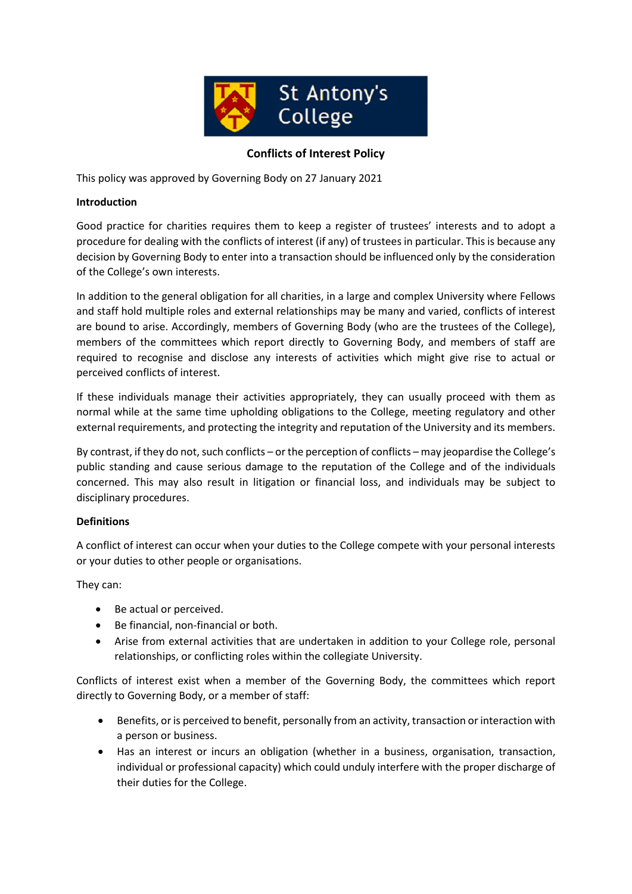

# **Conflicts of Interest Policy**

This policy was approved by Governing Body on 27 January 2021

## **Introduction**

Good practice for charities requires them to keep a register of trustees' interests and to adopt a procedure for dealing with the conflicts of interest (if any) of trustees in particular. This is because any decision by Governing Body to enter into a transaction should be influenced only by the consideration of the College's own interests.

In addition to the general obligation for all charities, in a large and complex University where Fellows and staff hold multiple roles and external relationships may be many and varied, conflicts of interest are bound to arise. Accordingly, members of Governing Body (who are the trustees of the College), members of the committees which report directly to Governing Body, and members of staff are required to recognise and disclose any interests of activities which might give rise to actual or perceived conflicts of interest.

If these individuals manage their activities appropriately, they can usually proceed with them as normal while at the same time upholding obligations to the College, meeting regulatory and other external requirements, and protecting the integrity and reputation of the University and its members.

By contrast, if they do not, such conflicts – or the perception of conflicts – may jeopardise the College's public standing and cause serious damage to the reputation of the College and of the individuals concerned. This may also result in litigation or financial loss, and individuals may be subject to disciplinary procedures.

#### **Definitions**

A conflict of interest can occur when your duties to the College compete with your personal interests or your duties to other people or organisations.

They can:

- Be actual or perceived.
- Be financial, non-financial or both.
- Arise from external activities that are undertaken in addition to your College role, personal relationships, or conflicting roles within the collegiate University.

Conflicts of interest exist when a member of the Governing Body, the committees which report directly to Governing Body, or a member of staff:

- Benefits, or is perceived to benefit, personally from an activity, transaction or interaction with a person or business.
- Has an interest or incurs an obligation (whether in a business, organisation, transaction, individual or professional capacity) which could unduly interfere with the proper discharge of their duties for the College.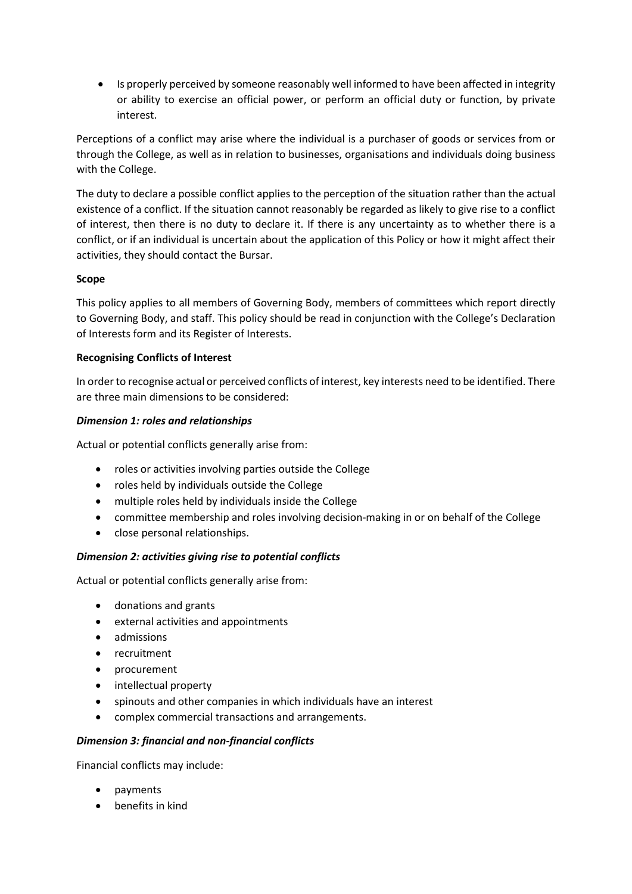Is properly perceived by someone reasonably well informed to have been affected in integrity or ability to exercise an official power, or perform an official duty or function, by private interest.

Perceptions of a conflict may arise where the individual is a purchaser of goods or services from or through the College, as well as in relation to businesses, organisations and individuals doing business with the College.

The duty to declare a possible conflict applies to the perception of the situation rather than the actual existence of a conflict. If the situation cannot reasonably be regarded as likely to give rise to a conflict of interest, then there is no duty to declare it. If there is any uncertainty as to whether there is a conflict, or if an individual is uncertain about the application of this Policy or how it might affect their activities, they should contact the Bursar.

# **Scope**

This policy applies to all members of Governing Body, members of committees which report directly to Governing Body, and staff. This policy should be read in conjunction with the College's Declaration of Interests form and its Register of Interests.

## **Recognising Conflicts of Interest**

In order to recognise actual or perceived conflicts of interest, key interests need to be identified. There are three main dimensions to be considered:

## *Dimension 1: roles and relationships*

Actual or potential conflicts generally arise from:

- roles or activities involving parties outside the College
- roles held by individuals outside the College
- multiple roles held by individuals inside the College
- committee membership and roles involving decision-making in or on behalf of the College
- close personal relationships.

#### *Dimension 2: activities giving rise to potential conflicts*

Actual or potential conflicts generally arise from:

- donations and grants
- external activities and appointments
- admissions
- recruitment
- procurement
- intellectual property
- spinouts and other companies in which individuals have an interest
- complex commercial transactions and arrangements.

#### *Dimension 3: financial and non-financial conflicts*

Financial conflicts may include:

- payments
- benefits in kind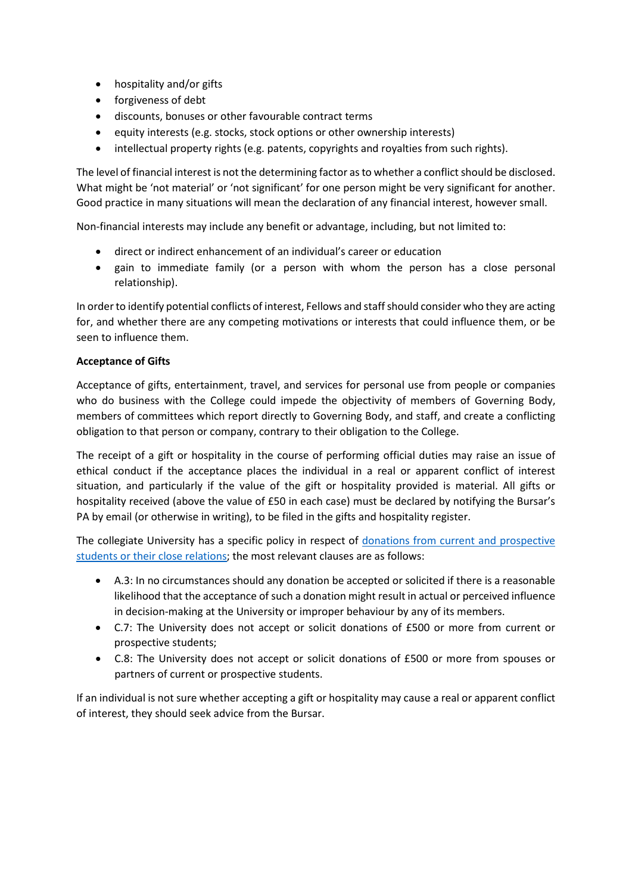- hospitality and/or gifts
- forgiveness of debt
- discounts, bonuses or other favourable contract terms
- equity interests (e.g. stocks, stock options or other ownership interests)
- intellectual property rights (e.g. patents, copyrights and royalties from such rights).

The level of financial interest is not the determining factor as to whether a conflict should be disclosed. What might be 'not material' or 'not significant' for one person might be very significant for another. Good practice in many situations will mean the declaration of any financial interest, however small.

Non-financial interests may include any benefit or advantage, including, but not limited to:

- direct or indirect enhancement of an individual's career or education
- gain to immediate family (or a person with whom the person has a close personal relationship).

In order to identify potential conflicts of interest, Fellows and staff should consider who they are acting for, and whether there are any competing motivations or interests that could influence them, or be seen to influence them.

## **Acceptance of Gifts**

Acceptance of gifts, entertainment, travel, and services for personal use from people or companies who do business with the College could impede the objectivity of members of Governing Body, members of committees which report directly to Governing Body, and staff, and create a conflicting obligation to that person or company, contrary to their obligation to the College.

The receipt of a gift or hospitality in the course of performing official duties may raise an issue of ethical conduct if the acceptance places the individual in a real or apparent conflict of interest situation, and particularly if the value of the gift or hospitality provided is material. All gifts or hospitality received (above the value of £50 in each case) must be declared by notifying the Bursar's PA by email (or otherwise in writing), to be filed in the gifts and hospitality register.

The collegiate University has a specific policy in respect of donations from current and prospective students or their close relations; the most relevant clauses are as follows:

- A.3: In no circumstances should any donation be accepted or solicited if there is a reasonable likelihood that the acceptance of such a donation might result in actual or perceived influence in decision-making at the University or improper behaviour by any of its members.
- C.7: The University does not accept or solicit donations of £500 or more from current or prospective students;
- C.8: The University does not accept or solicit donations of £500 or more from spouses or partners of current or prospective students.

If an individual is not sure whether accepting a gift or hospitality may cause a real or apparent conflict of interest, they should seek advice from the Bursar.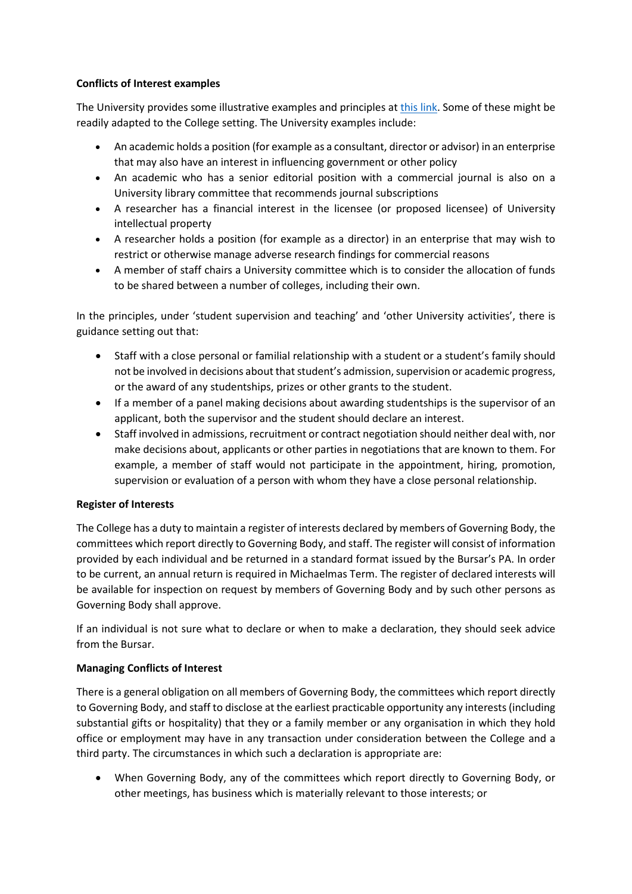## **Conflicts of Interest examples**

The University provides some illustrative examples and principles at this link. Some of these might be readily adapted to the College setting. The University examples include:

- An academic holds a position (for example as a consultant, director or advisor) in an enterprise that may also have an interest in influencing government or other policy
- An academic who has a senior editorial position with a commercial journal is also on a University library committee that recommends journal subscriptions
- A researcher has a financial interest in the licensee (or proposed licensee) of University intellectual property
- A researcher holds a position (for example as a director) in an enterprise that may wish to restrict or otherwise manage adverse research findings for commercial reasons
- A member of staff chairs a University committee which is to consider the allocation of funds to be shared between a number of colleges, including their own.

In the principles, under 'student supervision and teaching' and 'other University activities', there is guidance setting out that:

- Staff with a close personal or familial relationship with a student or a student's family should not be involved in decisions about that student's admission, supervision or academic progress, or the award of any studentships, prizes or other grants to the student.
- If a member of a panel making decisions about awarding studentships is the supervisor of an applicant, both the supervisor and the student should declare an interest.
- Staff involved in admissions, recruitment or contract negotiation should neither deal with, nor make decisions about, applicants or other parties in negotiations that are known to them. For example, a member of staff would not participate in the appointment, hiring, promotion, supervision or evaluation of a person with whom they have a close personal relationship.

# **Register of Interests**

The College has a duty to maintain a register of interests declared by members of Governing Body, the committees which report directly to Governing Body, and staff. The register will consist of information provided by each individual and be returned in a standard format issued by the Bursar's PA. In order to be current, an annual return is required in Michaelmas Term. The register of declared interests will be available for inspection on request by members of Governing Body and by such other persons as Governing Body shall approve.

If an individual is not sure what to declare or when to make a declaration, they should seek advice from the Bursar.

# **Managing Conflicts of Interest**

There is a general obligation on all members of Governing Body, the committees which report directly to Governing Body, and staff to disclose at the earliest practicable opportunity any interests (including substantial gifts or hospitality) that they or a family member or any organisation in which they hold office or employment may have in any transaction under consideration between the College and a third party. The circumstances in which such a declaration is appropriate are:

 When Governing Body, any of the committees which report directly to Governing Body, or other meetings, has business which is materially relevant to those interests; or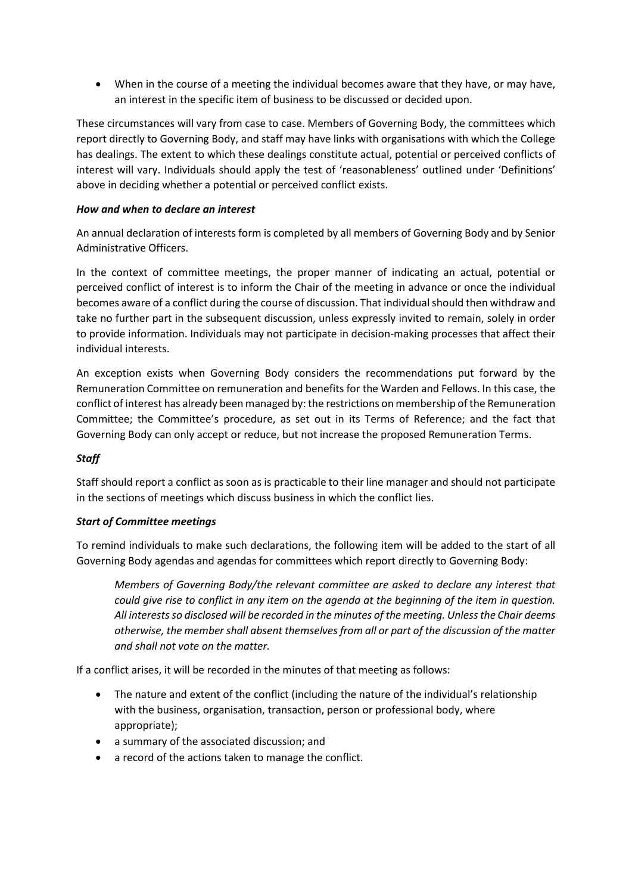When in the course of a meeting the individual becomes aware that they have, or may have, an interest in the specific item of business to be discussed or decided upon.

These circumstances will vary from case to case. Members of Governing Body, the committees which report directly to Governing Body, and staff may have links with organisations with which the College has dealings. The extent to which these dealings constitute actual, potential or perceived conflicts of interest will vary. Individuals should apply the test of 'reasonableness' outlined under 'Definitions' above in deciding whether a potential or perceived conflict exists.

## *How and when to declare an interest*

An annual declaration of interests form is completed by all members of Governing Body and by Senior Administrative Officers.

In the context of committee meetings, the proper manner of indicating an actual, potential or perceived conflict of interest is to inform the Chair of the meeting in advance or once the individual becomes aware of a conflict during the course of discussion. That individual should then withdraw and take no further part in the subsequent discussion, unless expressly invited to remain, solely in order to provide information. Individuals may not participate in decision-making processes that affect their individual interests.

An exception exists when Governing Body considers the recommendations put forward by the Remuneration Committee on remuneration and benefits for the Warden and Fellows. In this case, the conflict of interest has already been managed by: the restrictions on membership of the Remuneration Committee; the Committee's procedure, as set out in its Terms of Reference; and the fact that Governing Body can only accept or reduce, but not increase the proposed Remuneration Terms.

# *Staff*

Staff should report a conflict as soon as is practicable to their line manager and should not participate in the sections of meetings which discuss business in which the conflict lies.

#### *Start of Committee meetings*

To remind individuals to make such declarations, the following item will be added to the start of all Governing Body agendas and agendas for committees which report directly to Governing Body:

*Members of Governing Body/the relevant committee are asked to declare any interest that could give rise to conflict in any item on the agenda at the beginning of the item in question. All interests so disclosed will be recorded in the minutes of the meeting. Unless the Chair deems otherwise, the member shall absent themselves from all or part of the discussion of the matter and shall not vote on the matter.*

If a conflict arises, it will be recorded in the minutes of that meeting as follows:

- The nature and extent of the conflict (including the nature of the individual's relationship with the business, organisation, transaction, person or professional body, where appropriate);
- a summary of the associated discussion; and
- a record of the actions taken to manage the conflict.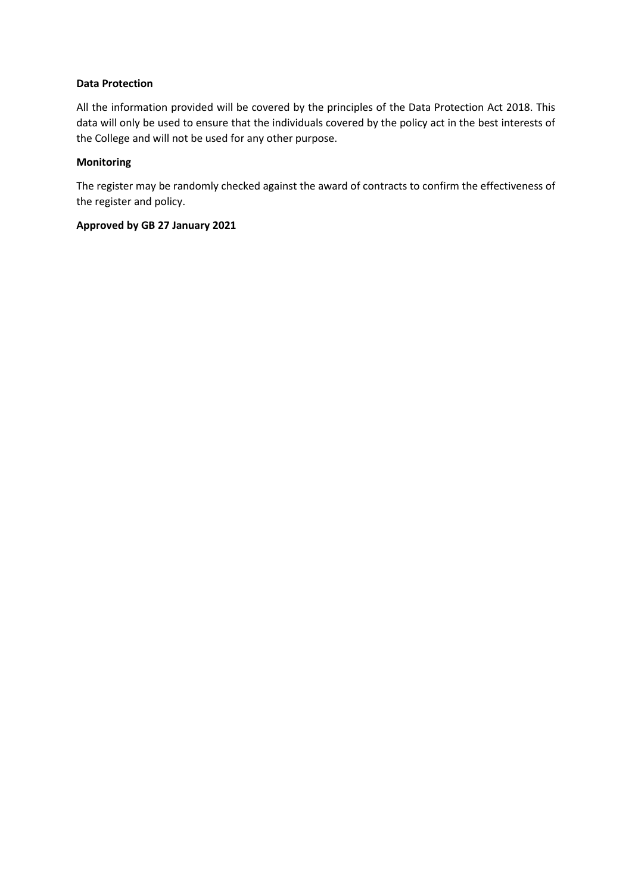## **Data Protection**

All the information provided will be covered by the principles of the Data Protection Act 2018. This data will only be used to ensure that the individuals covered by the policy act in the best interests of the College and will not be used for any other purpose.

## **Monitoring**

The register may be randomly checked against the award of contracts to confirm the effectiveness of the register and policy.

## **Approved by GB 27 January 2021**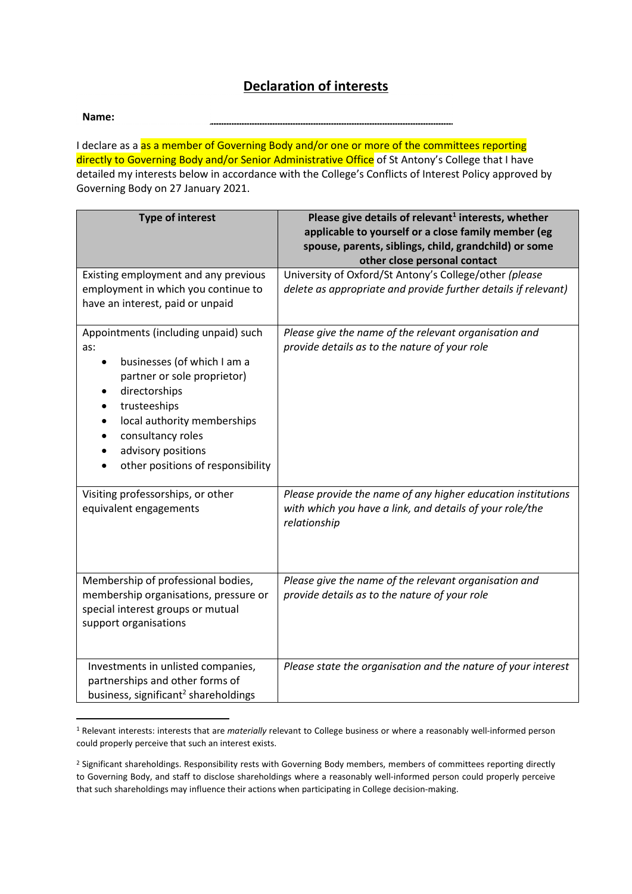# **Declaration of interests**

**Name:** 

I declare as a as a member of Governing Body and/or one or more of the committees reporting directly to Governing Body and/or Senior Administrative Office of St Antony's College that I have detailed my interests below in accordance with the College's Conflicts of Interest Policy approved by Governing Body on 27 January 2021.

| <b>Type of interest</b>                                                                                                                                                                                                                                   | Please give details of relevant <sup>1</sup> interests, whether<br>applicable to yourself or a close family member (eg<br>spouse, parents, siblings, child, grandchild) or some<br>other close personal contact |  |  |  |  |
|-----------------------------------------------------------------------------------------------------------------------------------------------------------------------------------------------------------------------------------------------------------|-----------------------------------------------------------------------------------------------------------------------------------------------------------------------------------------------------------------|--|--|--|--|
| Existing employment and any previous<br>employment in which you continue to<br>have an interest, paid or unpaid                                                                                                                                           | University of Oxford/St Antony's College/other (please<br>delete as appropriate and provide further details if relevant)                                                                                        |  |  |  |  |
| Appointments (including unpaid) such<br>as:<br>businesses (of which I am a<br>partner or sole proprietor)<br>directorships<br>trusteeships<br>local authority memberships<br>consultancy roles<br>advisory positions<br>other positions of responsibility | Please give the name of the relevant organisation and<br>provide details as to the nature of your role                                                                                                          |  |  |  |  |
| Visiting professorships, or other<br>equivalent engagements                                                                                                                                                                                               | Please provide the name of any higher education institutions<br>with which you have a link, and details of your role/the<br>relationship                                                                        |  |  |  |  |
| Membership of professional bodies,<br>membership organisations, pressure or<br>special interest groups or mutual<br>support organisations                                                                                                                 | Please give the name of the relevant organisation and<br>provide details as to the nature of your role                                                                                                          |  |  |  |  |
| Investments in unlisted companies,<br>partnerships and other forms of<br>business, significant <sup>2</sup> shareholdings                                                                                                                                 | Please state the organisation and the nature of your interest                                                                                                                                                   |  |  |  |  |

<sup>1</sup> Relevant interests: interests that are *materially* relevant to College business or where a reasonably well-informed person could properly perceive that such an interest exists.

<sup>&</sup>lt;sup>2</sup> Significant shareholdings. Responsibility rests with Governing Body members, members of committees reporting directly to Governing Body, and staff to disclose shareholdings where a reasonably well-informed person could properly perceive that such shareholdings may influence their actions when participating in College decision-making.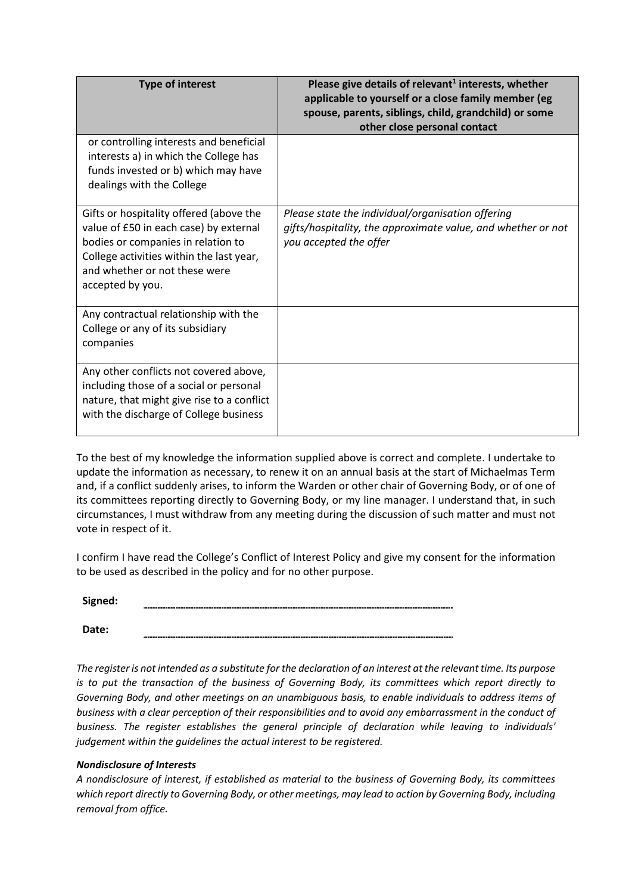| <b>Type of interest</b>                                                                                                                                                                                                  | Please give details of relevant <sup>1</sup> interests, whether<br>applicable to yourself or a close family member (eg<br>spouse, parents, siblings, child, grandchild) or some<br>other close personal contact |
|--------------------------------------------------------------------------------------------------------------------------------------------------------------------------------------------------------------------------|-----------------------------------------------------------------------------------------------------------------------------------------------------------------------------------------------------------------|
| or controlling interests and beneficial<br>interests a) in which the College has<br>funds invested or b) which may have<br>dealings with the College                                                                     |                                                                                                                                                                                                                 |
| Gifts or hospitality offered (above the<br>value of £50 in each case) by external<br>bodies or companies in relation to<br>College activities within the last year,<br>and whether or not these were<br>accepted by you. | Please state the individual/organisation offering<br>gifts/hospitality, the approximate value, and whether or not<br>you accepted the offer                                                                     |
| Any contractual relationship with the<br>College or any of its subsidiary<br>companies                                                                                                                                   |                                                                                                                                                                                                                 |
| Any other conflicts not covered above,<br>including those of a social or personal<br>nature, that might give rise to a conflict<br>with the discharge of College business                                                |                                                                                                                                                                                                                 |

To the best of my knowledge the information supplied above is correct and complete. I undertake to update the information as necessary, to renew it on an annual basis at the start of Michaelmas Term and, if a conflict suddenly arises, to inform the Warden or other chair of Governing Body, or of one of its committees reporting directly to Governing Body, or my line manager. I understand that, in such circumstances, I must withdraw from any meeting during the discussion of such matter and must not vote in respect of it.

I confirm I have read the College's Conflict of Interest Policy and give my consent for the information to be used as described in the policy and for no other purpose.

**Signed:** 

**Date:** 

*The register is not intended as a substitute for the declaration of an interest at the relevant time. Its purpose is to put the transaction of the business of Governing Body, its committees which report directly to Governing Body, and other meetings on an unambiguous basis, to enable individuals to address items of business with a clear perception of their responsibilities and to avoid any embarrassment in the conduct of business. The register establishes the general principle of declaration while leaving to individuals' judgement within the guidelines the actual interest to be registered.* 

#### *Nondisclosure of Interests*

*A nondisclosure of interest, if established as material to the business of Governing Body, its committees which report directly to Governing Body, or other meetings, may lead to action by Governing Body, including removal from office.*